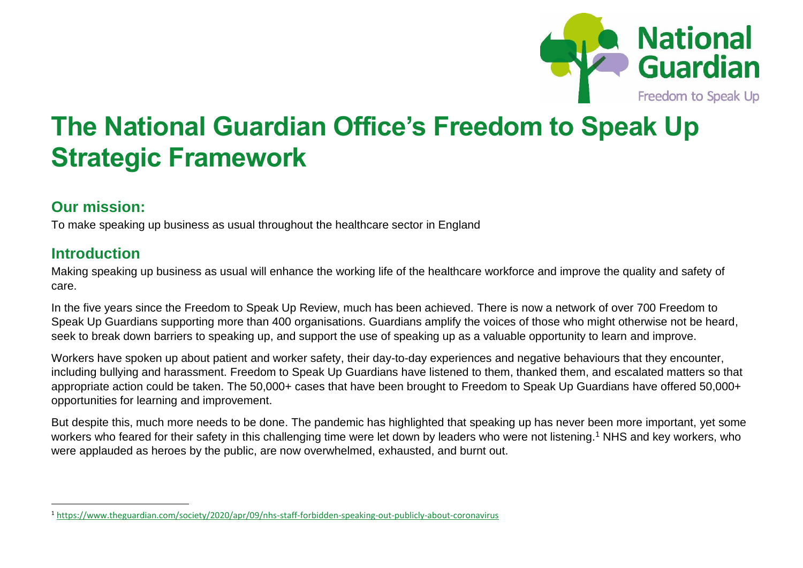

# **The National Guardian Office's Freedom to Speak Up Strategic Framework**

#### **Our mission:**

To make speaking up business as usual throughout the healthcare sector in England

#### **Introduction**

Making speaking up business as usual will enhance the working life of the healthcare workforce and improve the quality and safety of care.

In the five years since the Freedom to Speak Up Review, much has been achieved. There is now a network of over 700 Freedom to Speak Up Guardians supporting more than 400 organisations. Guardians amplify the voices of those who might otherwise not be heard, seek to break down barriers to speaking up, and support the use of speaking up as a valuable opportunity to learn and improve.

Workers have spoken up about patient and worker safety, their day-to-day experiences and negative behaviours that they encounter, including bullying and harassment. Freedom to Speak Up Guardians have listened to them, thanked them, and escalated matters so that appropriate action could be taken. The 50,000+ cases that have been brought to Freedom to Speak Up Guardians have offered 50,000+ opportunities for learning and improvement.

But despite this, much more needs to be done. The pandemic has highlighted that speaking up has never been more important, yet some workers who feared for their safety in this challenging time were let down by leaders who were not listening.<sup>1</sup> NHS and key workers, who were applauded as heroes by the public, are now overwhelmed, exhausted, and burnt out.

<sup>1</sup> <https://www.theguardian.com/society/2020/apr/09/nhs-staff-forbidden-speaking-out-publicly-about-coronavirus>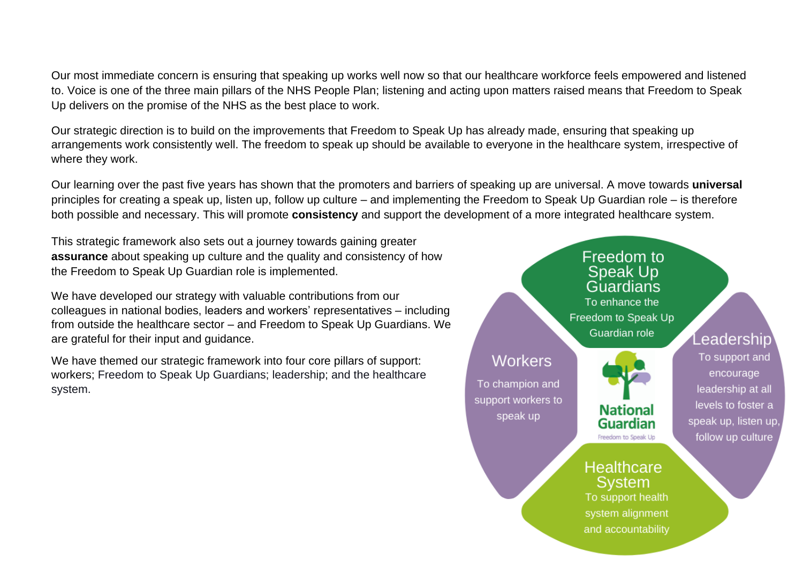Our most immediate concern is ensuring that speaking up works well now so that our healthcare workforce feels empowered and listened to. Voice is one of the three main pillars of the NHS People Plan; listening and acting upon matters raised means that Freedom to Speak Up delivers on the promise of the NHS as the best place to work.

Our strategic direction is to build on the improvements that Freedom to Speak Up has already made, ensuring that speaking up arrangements work consistently well. The freedom to speak up should be available to everyone in the healthcare system, irrespective of where they work.

Our learning over the past five years has shown that the promoters and barriers of speaking up are universal. A move towards **universal** principles for creating a speak up, listen up, follow up culture – and implementing the Freedom to Speak Up Guardian role – is therefore both possible and necessary. This will promote **consistency** and support the development of a more integrated healthcare system.

This strategic framework also sets out a journey towards gaining greater **assurance** about speaking up culture and the quality and consistency of how the Freedom to Speak Up Guardian role is implemented.

We have developed our strategy with valuable contributions from our colleagues in national bodies, leaders and workers' representatives – including from outside the healthcare sector – and Freedom to Speak Up Guardians. We are grateful for their input and guidance.

We have themed our strategic framework into four core pillars of support: workers; Freedom to Speak Up Guardians; leadership; and the healthcare system.

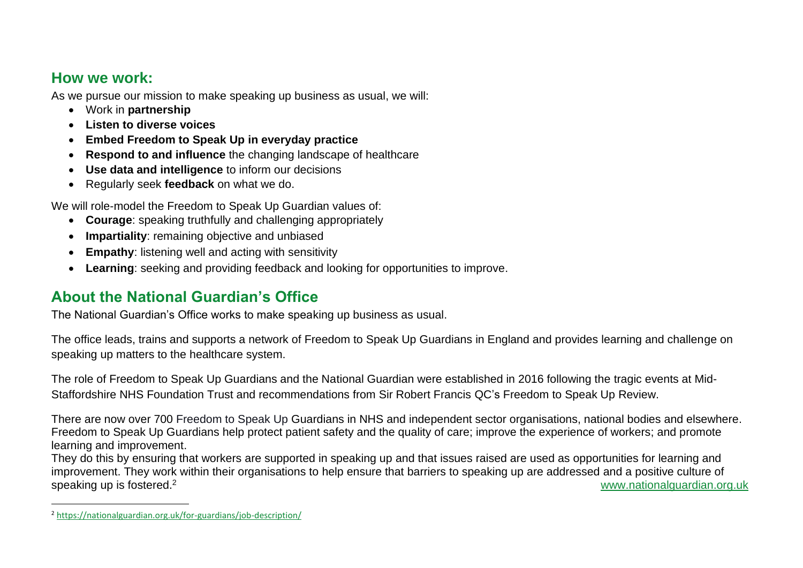#### **How we work:**

As we pursue our mission to make speaking up business as usual, we will:

- Work in **partnership**
- **Listen to diverse voices**
- **Embed Freedom to Speak Up in everyday practice**
- **Respond to and influence** the changing landscape of healthcare
- **Use data and intelligence** to inform our decisions
- Regularly seek **feedback** on what we do.

We will role-model the Freedom to Speak Up Guardian values of:

- **Courage**: speaking truthfully and challenging appropriately
- **Impartiality**: remaining objective and unbiased
- **Empathy**: listening well and acting with sensitivity
- **Learning**: seeking and providing feedback and looking for opportunities to improve.

# **About the National Guardian's Office**

The National Guardian's Office works to make speaking up business as usual.

The office leads, trains and supports a network of Freedom to Speak Up Guardians in England and provides learning and challenge on speaking up matters to the healthcare system.

The role of Freedom to Speak Up Guardians and the National Guardian were established in 2016 following the tragic events at Mid-Staffordshire NHS Foundation Trust and recommendations from Sir Robert Francis QC's Freedom to Speak Up Review.

There are now over 700 Freedom to Speak Up Guardians in NHS and independent sector organisations, national bodies and elsewhere. Freedom to Speak Up Guardians help protect patient safety and the quality of care; improve the experience of workers; and promote learning and improvement.

They do this by ensuring that workers are supported in speaking up and that issues raised are used as opportunities for learning and improvement. They work within their organisations to help ensure that barriers to speaking up are addressed and a positive culture of speaking up is fostered.<sup>2</sup> [www.nationalguardian.org.uk](http://www.nationalguardian.org.uk/)

<sup>2</sup> <https://nationalguardian.org.uk/for-guardians/job-description/>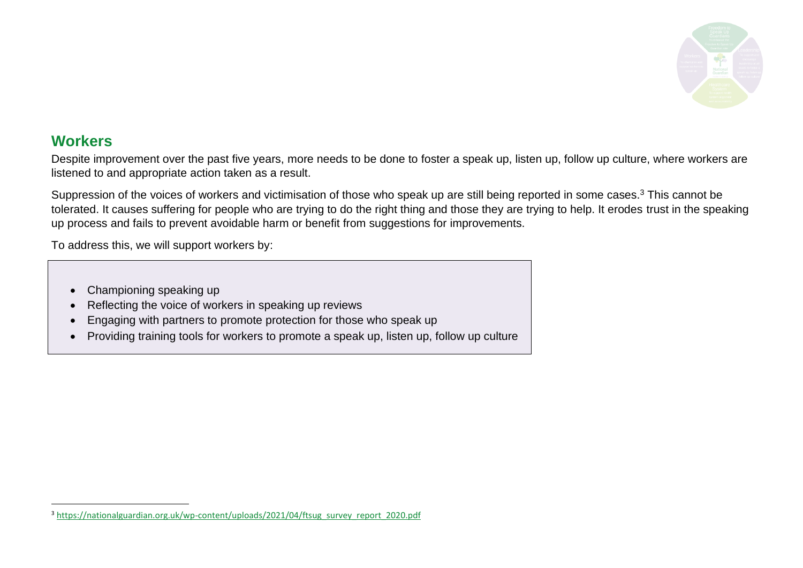

#### **Workers**

Despite improvement over the past five years, more needs to be done to foster a speak up, listen up, follow up culture, where workers are listened to and appropriate action taken as a result.

Suppression of the voices of workers and victimisation of those who speak up are still being reported in some cases.<sup>3</sup> This cannot be tolerated. It causes suffering for people who are trying to do the right thing and those they are trying to help. It erodes trust in the speaking up process and fails to prevent avoidable harm or benefit from suggestions for improvements.

To address this, we will support workers by:

- Championing speaking up
- Reflecting the voice of workers in speaking up reviews
- Engaging with partners to promote protection for those who speak up
- Providing training tools for workers to promote a speak up, listen up, follow up culture

<sup>3</sup> [https://nationalguardian.org.uk/wp-content/uploads/2021/04/ftsug\\_survey\\_report\\_2020.pdf](https://nationalguardian.org.uk/wp-content/uploads/2021/04/ftsug_survey_report_2020.pdf)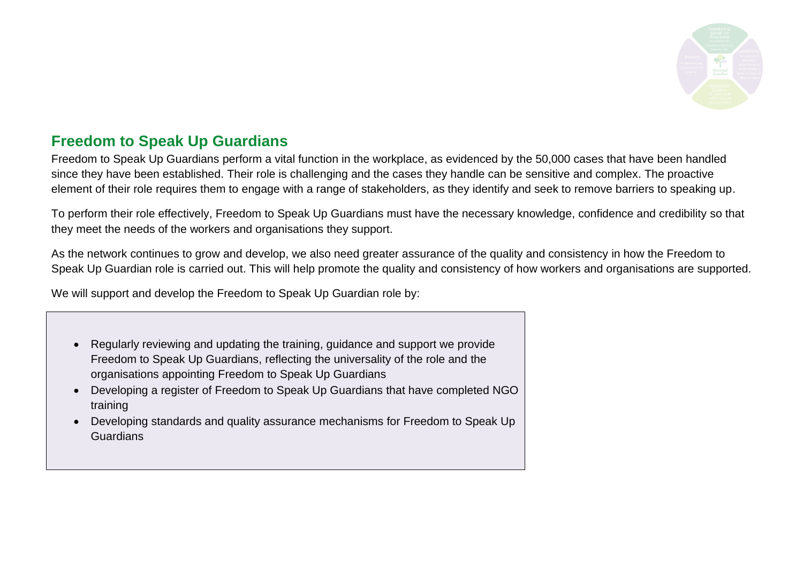

## **Freedom to Speak Up Guardians**

Freedom to Speak Up Guardians perform a vital function in the workplace, as evidenced by the 50,000 cases that have been handled since they have been established. Their role is challenging and the cases they handle can be sensitive and complex. The proactive element of their role requires them to engage with a range of stakeholders, as they identify and seek to remove barriers to speaking up.

To perform their role effectively, Freedom to Speak Up Guardians must have the necessary knowledge, confidence and credibility so that they meet the needs of the workers and organisations they support.

As the network continues to grow and develop, we also need greater assurance of the quality and consistency in how the Freedom to Speak Up Guardian role is carried out. This will help promote the quality and consistency of how workers and organisations are supported.

We will support and develop the Freedom to Speak Up Guardian role by:

- Regularly reviewing and updating the training, guidance and support we provide Freedom to Speak Up Guardians, reflecting the universality of the role and the organisations appointing Freedom to Speak Up Guardians
- Developing a register of Freedom to Speak Up Guardians that have completed NGO training
- Developing standards and quality assurance mechanisms for Freedom to Speak Up Guardians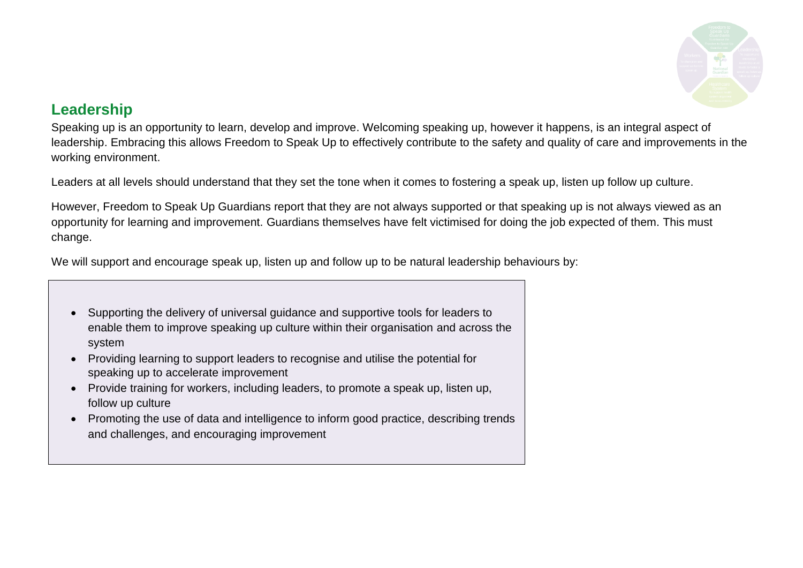

### **Leadership**

Speaking up is an opportunity to learn, develop and improve. Welcoming speaking up, however it happens, is an integral aspect of leadership. Embracing this allows Freedom to Speak Up to effectively contribute to the safety and quality of care and improvements in the working environment.

Leaders at all levels should understand that they set the tone when it comes to fostering a speak up, listen up follow up culture.

However, Freedom to Speak Up Guardians report that they are not always supported or that speaking up is not always viewed as an opportunity for learning and improvement. Guardians themselves have felt victimised for doing the job expected of them. This must change.

We will support and encourage speak up, listen up and follow up to be natural leadership behaviours by:

- Supporting the delivery of universal guidance and supportive tools for leaders to enable them to improve speaking up culture within their organisation and across the system
- Providing learning to support leaders to recognise and utilise the potential for speaking up to accelerate improvement
- Provide training for workers, including leaders, to promote a speak up, listen up, follow up culture
- Promoting the use of data and intelligence to inform good practice, describing trends and challenges, and encouraging improvement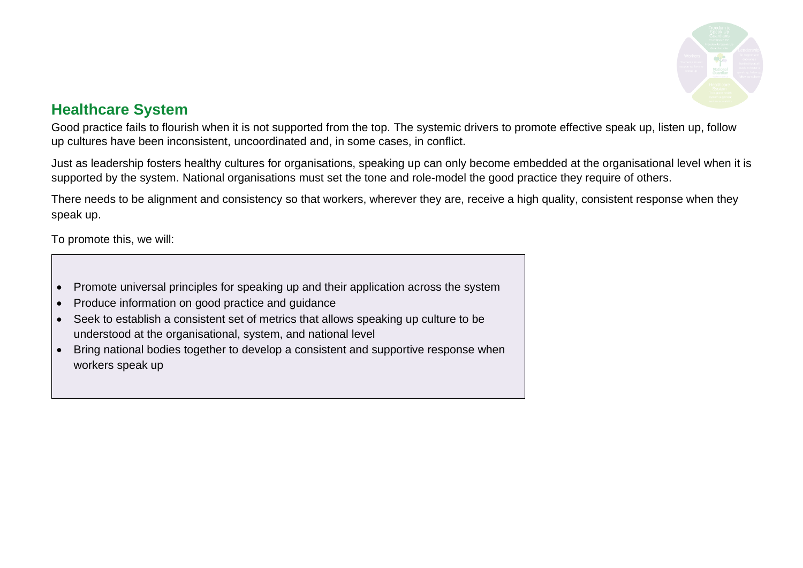

#### **Healthcare System**

Good practice fails to flourish when it is not supported from the top. The systemic drivers to promote effective speak up, listen up, follow up cultures have been inconsistent, uncoordinated and, in some cases, in conflict.

Just as leadership fosters healthy cultures for organisations, speaking up can only become embedded at the organisational level when it is supported by the system. National organisations must set the tone and role-model the good practice they require of others.

There needs to be alignment and consistency so that workers, wherever they are, receive a high quality, consistent response when they speak up.

To promote this, we will:

- Promote universal principles for speaking up and their application across the system
- Produce information on good practice and guidance
- Seek to establish a consistent set of metrics that allows speaking up culture to be understood at the organisational, system, and national level
- Bring national bodies together to develop a consistent and supportive response when workers speak up